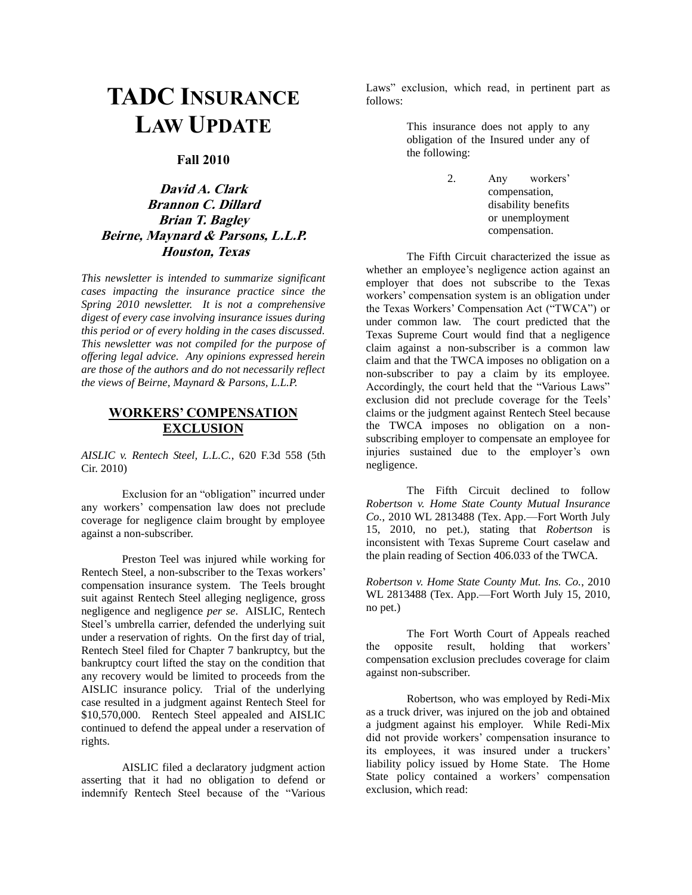# **TADC INSURANCE LAW UPDATE**

#### **Fall 2010**

## **David A. Clark Brannon C. Dillard Brian T. Bagley Beirne, Maynard & Parsons, L.L.P. Houston, Texas**

*This newsletter is intended to summarize significant cases impacting the insurance practice since the Spring 2010 newsletter. It is not a comprehensive digest of every case involving insurance issues during this period or of every holding in the cases discussed. This newsletter was not compiled for the purpose of offering legal advice. Any opinions expressed herein are those of the authors and do not necessarily reflect the views of Beirne, Maynard & Parsons, L.L.P.*

## **WORKERS' COMPENSATION EXCLUSION**

*AISLIC v. Rentech Steel, L.L.C.*, 620 F.3d 558 (5th Cir. 2010)

Exclusion for an "obligation" incurred under any workers' compensation law does not preclude coverage for negligence claim brought by employee against a non-subscriber.

Preston Teel was injured while working for Rentech Steel, a non-subscriber to the Texas workers' compensation insurance system. The Teels brought suit against Rentech Steel alleging negligence, gross negligence and negligence *per se*. AISLIC, Rentech Steel's umbrella carrier, defended the underlying suit under a reservation of rights. On the first day of trial, Rentech Steel filed for Chapter 7 bankruptcy, but the bankruptcy court lifted the stay on the condition that any recovery would be limited to proceeds from the AISLIC insurance policy. Trial of the underlying case resulted in a judgment against Rentech Steel for \$10,570,000. Rentech Steel appealed and AISLIC continued to defend the appeal under a reservation of rights.

AISLIC filed a declaratory judgment action asserting that it had no obligation to defend or indemnify Rentech Steel because of the "Various Laws" exclusion, which read, in pertinent part as follows:

> This insurance does not apply to any obligation of the Insured under any of the following:

The Fifth Circuit characterized the issue as whether an employee's negligence action against an employer that does not subscribe to the Texas workers' compensation system is an obligation under the Texas Workers' Compensation Act ("TWCA") or under common law. The court predicted that the Texas Supreme Court would find that a negligence claim against a non-subscriber is a common law claim and that the TWCA imposes no obligation on a non-subscriber to pay a claim by its employee. Accordingly, the court held that the "Various Laws" exclusion did not preclude coverage for the Teels' claims or the judgment against Rentech Steel because the TWCA imposes no obligation on a nonsubscribing employer to compensate an employee for injuries sustained due to the employer's own negligence.

The Fifth Circuit declined to follow *Robertson v. Home State County Mutual Insurance Co.*, 2010 WL 2813488 (Tex. App.—Fort Worth July 15, 2010, no pet.), stating that *Robertson* is inconsistent with Texas Supreme Court caselaw and the plain reading of Section 406.033 of the TWCA.

*Robertson v. Home State County Mut. Ins. Co.*, 2010 WL 2813488 (Tex. App.—Fort Worth July 15, 2010, no pet.)

The Fort Worth Court of Appeals reached the opposite result, holding that workers' compensation exclusion precludes coverage for claim against non-subscriber.

Robertson, who was employed by Redi-Mix as a truck driver, was injured on the job and obtained a judgment against his employer. While Redi-Mix did not provide workers' compensation insurance to its employees, it was insured under a truckers' liability policy issued by Home State. The Home State policy contained a workers' compensation exclusion, which read:

<sup>2.</sup> Any workers' compensation, disability benefits or unemployment compensation.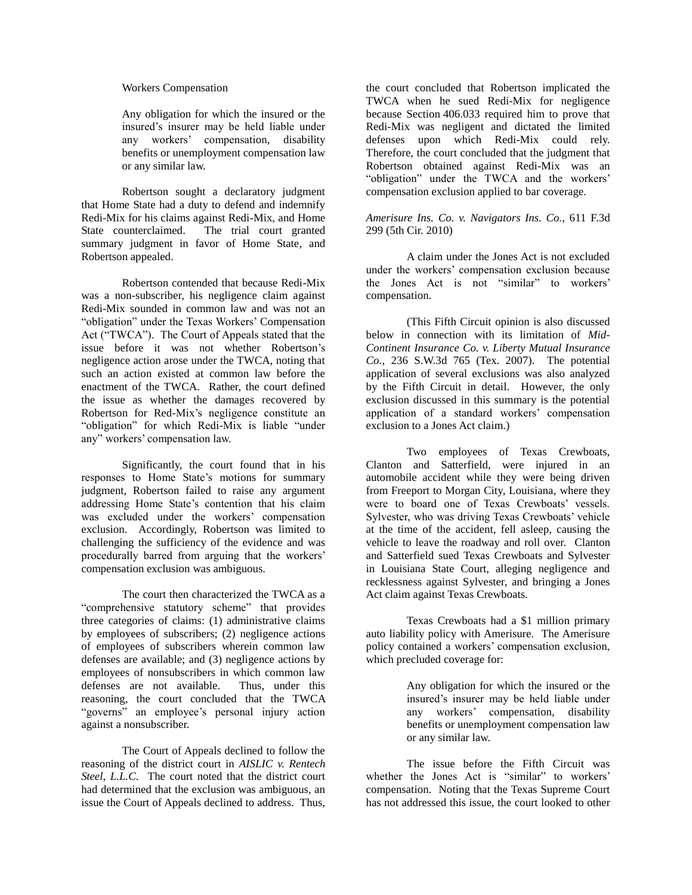#### Workers Compensation

Any obligation for which the insured or the insured's insurer may be held liable under any workers' compensation, disability benefits or unemployment compensation law or any similar law.

Robertson sought a declaratory judgment that Home State had a duty to defend and indemnify Redi-Mix for his claims against Redi-Mix, and Home State counterclaimed. The trial court granted summary judgment in favor of Home State, and Robertson appealed.

Robertson contended that because Redi-Mix was a non-subscriber, his negligence claim against Redi-Mix sounded in common law and was not an "obligation" under the Texas Workers' Compensation Act ("TWCA"). The Court of Appeals stated that the issue before it was not whether Robertson's negligence action arose under the TWCA, noting that such an action existed at common law before the enactment of the TWCA. Rather, the court defined the issue as whether the damages recovered by Robertson for Red-Mix's negligence constitute an "obligation" for which Redi-Mix is liable "under any" workers' compensation law.

Significantly, the court found that in his responses to Home State's motions for summary judgment, Robertson failed to raise any argument addressing Home State's contention that his claim was excluded under the workers' compensation exclusion. Accordingly, Robertson was limited to challenging the sufficiency of the evidence and was procedurally barred from arguing that the workers' compensation exclusion was ambiguous.

The court then characterized the TWCA as a "comprehensive statutory scheme" that provides three categories of claims: (1) administrative claims by employees of subscribers; (2) negligence actions of employees of subscribers wherein common law defenses are available; and (3) negligence actions by employees of nonsubscribers in which common law defenses are not available. Thus, under this reasoning, the court concluded that the TWCA "governs" an employee's personal injury action against a nonsubscriber.

The Court of Appeals declined to follow the reasoning of the district court in *AISLIC v. Rentech Steel, L.L.C*.The court noted that the district court had determined that the exclusion was ambiguous, an issue the Court of Appeals declined to address. Thus,

the court concluded that Robertson implicated the TWCA when he sued Redi-Mix for negligence because Section 406.033 required him to prove that Redi-Mix was negligent and dictated the limited defenses upon which Redi-Mix could rely. Therefore, the court concluded that the judgment that Robertson obtained against Redi-Mix was an "obligation" under the TWCA and the workers' compensation exclusion applied to bar coverage.

*Amerisure Ins. Co. v. Navigators Ins. Co.*, 611 F.3d 299 (5th Cir. 2010)

A claim under the Jones Act is not excluded under the workers' compensation exclusion because the Jones Act is not "similar" to workers' compensation.

(This Fifth Circuit opinion is also discussed below in connection with its limitation of *Mid-Continent Insurance Co. v. Liberty Mutual Insurance Co.*, 236 S.W.3d 765 (Tex. 2007). The potential application of several exclusions was also analyzed by the Fifth Circuit in detail. However, the only exclusion discussed in this summary is the potential application of a standard workers' compensation exclusion to a Jones Act claim.)

Two employees of Texas Crewboats, Clanton and Satterfield, were injured in an automobile accident while they were being driven from Freeport to Morgan City, Louisiana, where they were to board one of Texas Crewboats' vessels. Sylvester, who was driving Texas Crewboats' vehicle at the time of the accident, fell asleep, causing the vehicle to leave the roadway and roll over. Clanton and Satterfield sued Texas Crewboats and Sylvester in Louisiana State Court, alleging negligence and recklessness against Sylvester, and bringing a Jones Act claim against Texas Crewboats.

Texas Crewboats had a \$1 million primary auto liability policy with Amerisure. The Amerisure policy contained a workers' compensation exclusion, which precluded coverage for:

> Any obligation for which the insured or the insured's insurer may be held liable under any workers' compensation, disability benefits or unemployment compensation law or any similar law.

The issue before the Fifth Circuit was whether the Jones Act is "similar" to workers' compensation. Noting that the Texas Supreme Court has not addressed this issue, the court looked to other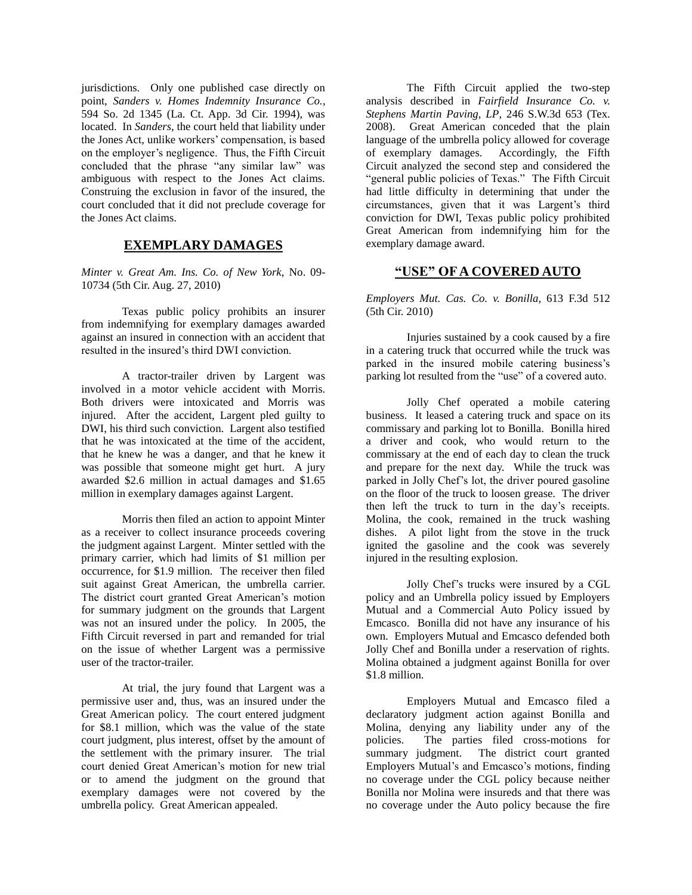jurisdictions. Only one published case directly on point, *Sanders v. Homes Indemnity Insurance Co.*, 594 So. 2d 1345 (La. Ct. App. 3d Cir. 1994), was located. In *Sanders*, the court held that liability under the Jones Act, unlike workers' compensation, is based on the employer's negligence. Thus, the Fifth Circuit concluded that the phrase "any similar law" was ambiguous with respect to the Jones Act claims. Construing the exclusion in favor of the insured, the court concluded that it did not preclude coverage for the Jones Act claims.

## **EXEMPLARY DAMAGES**

*Minter v. Great Am. Ins. Co. of New York*, No. 09- 10734 (5th Cir. Aug. 27, 2010)

Texas public policy prohibits an insurer from indemnifying for exemplary damages awarded against an insured in connection with an accident that resulted in the insured's third DWI conviction.

A tractor-trailer driven by Largent was involved in a motor vehicle accident with Morris. Both drivers were intoxicated and Morris was injured. After the accident, Largent pled guilty to DWI, his third such conviction. Largent also testified that he was intoxicated at the time of the accident, that he knew he was a danger, and that he knew it was possible that someone might get hurt. A jury awarded \$2.6 million in actual damages and \$1.65 million in exemplary damages against Largent.

Morris then filed an action to appoint Minter as a receiver to collect insurance proceeds covering the judgment against Largent. Minter settled with the primary carrier, which had limits of \$1 million per occurrence, for \$1.9 million. The receiver then filed suit against Great American, the umbrella carrier. The district court granted Great American's motion for summary judgment on the grounds that Largent was not an insured under the policy. In 2005, the Fifth Circuit reversed in part and remanded for trial on the issue of whether Largent was a permissive user of the tractor-trailer.

At trial, the jury found that Largent was a permissive user and, thus, was an insured under the Great American policy. The court entered judgment for \$8.1 million, which was the value of the state court judgment, plus interest, offset by the amount of the settlement with the primary insurer. The trial court denied Great American's motion for new trial or to amend the judgment on the ground that exemplary damages were not covered by the umbrella policy. Great American appealed.

The Fifth Circuit applied the two-step analysis described in *Fairfield Insurance Co. v. Stephens Martin Paving, LP*, 246 S.W.3d 653 (Tex. 2008). Great American conceded that the plain language of the umbrella policy allowed for coverage of exemplary damages. Accordingly, the Fifth Circuit analyzed the second step and considered the "general public policies of Texas." The Fifth Circuit had little difficulty in determining that under the circumstances, given that it was Largent's third conviction for DWI, Texas public policy prohibited Great American from indemnifying him for the exemplary damage award.

## **"USE" OF A COVERED AUTO**

*Employers Mut. Cas. Co. v. Bonilla*, 613 F.3d 512 (5th Cir. 2010)

Injuries sustained by a cook caused by a fire in a catering truck that occurred while the truck was parked in the insured mobile catering business's parking lot resulted from the "use" of a covered auto.

Jolly Chef operated a mobile catering business. It leased a catering truck and space on its commissary and parking lot to Bonilla. Bonilla hired a driver and cook, who would return to the commissary at the end of each day to clean the truck and prepare for the next day. While the truck was parked in Jolly Chef's lot, the driver poured gasoline on the floor of the truck to loosen grease. The driver then left the truck to turn in the day's receipts. Molina, the cook, remained in the truck washing dishes. A pilot light from the stove in the truck ignited the gasoline and the cook was severely injured in the resulting explosion.

Jolly Chef's trucks were insured by a CGL policy and an Umbrella policy issued by Employers Mutual and a Commercial Auto Policy issued by Emcasco. Bonilla did not have any insurance of his own. Employers Mutual and Emcasco defended both Jolly Chef and Bonilla under a reservation of rights. Molina obtained a judgment against Bonilla for over \$1.8 million.

Employers Mutual and Emcasco filed a declaratory judgment action against Bonilla and Molina, denying any liability under any of the policies. The parties filed cross-motions for summary judgment. The district court granted Employers Mutual's and Emcasco's motions, finding no coverage under the CGL policy because neither Bonilla nor Molina were insureds and that there was no coverage under the Auto policy because the fire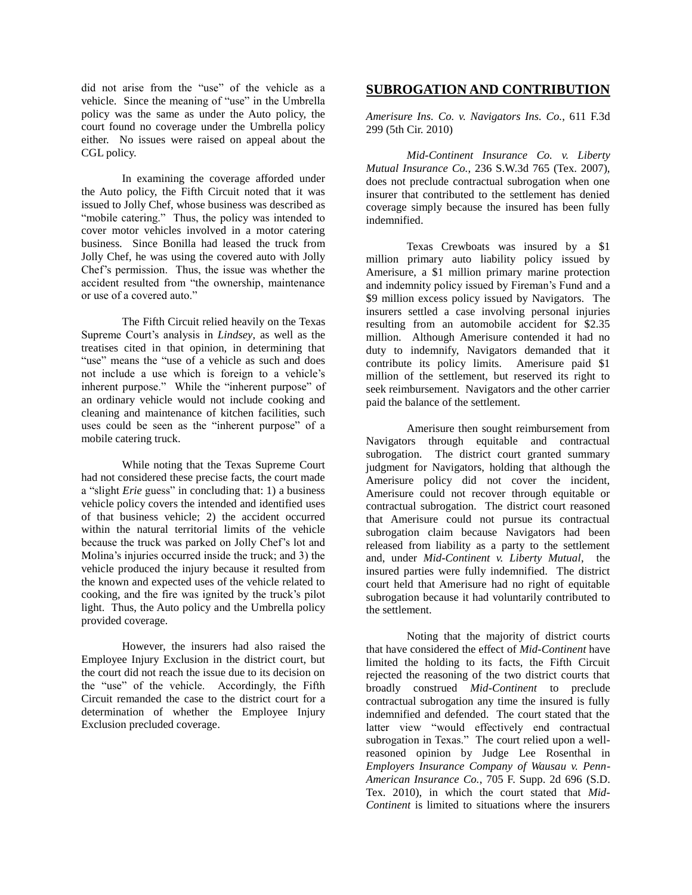did not arise from the "use" of the vehicle as a vehicle. Since the meaning of "use" in the Umbrella policy was the same as under the Auto policy, the court found no coverage under the Umbrella policy either. No issues were raised on appeal about the CGL policy.

In examining the coverage afforded under the Auto policy, the Fifth Circuit noted that it was issued to Jolly Chef, whose business was described as "mobile catering." Thus, the policy was intended to cover motor vehicles involved in a motor catering business. Since Bonilla had leased the truck from Jolly Chef, he was using the covered auto with Jolly Chef's permission. Thus, the issue was whether the accident resulted from "the ownership, maintenance or use of a covered auto."

The Fifth Circuit relied heavily on the Texas Supreme Court's analysis in *Lindsey*, as well as the treatises cited in that opinion, in determining that "use" means the "use of a vehicle as such and does not include a use which is foreign to a vehicle's inherent purpose." While the "inherent purpose" of an ordinary vehicle would not include cooking and cleaning and maintenance of kitchen facilities, such uses could be seen as the "inherent purpose" of a mobile catering truck.

While noting that the Texas Supreme Court had not considered these precise facts, the court made a "slight *Erie* guess" in concluding that: 1) a business vehicle policy covers the intended and identified uses of that business vehicle; 2) the accident occurred within the natural territorial limits of the vehicle because the truck was parked on Jolly Chef's lot and Molina's injuries occurred inside the truck; and 3) the vehicle produced the injury because it resulted from the known and expected uses of the vehicle related to cooking, and the fire was ignited by the truck's pilot light. Thus, the Auto policy and the Umbrella policy provided coverage.

However, the insurers had also raised the Employee Injury Exclusion in the district court, but the court did not reach the issue due to its decision on the "use" of the vehicle. Accordingly, the Fifth Circuit remanded the case to the district court for a determination of whether the Employee Injury Exclusion precluded coverage.

## **SUBROGATION AND CONTRIBUTION**

*Amerisure Ins. Co. v. Navigators Ins. Co.*, 611 F.3d 299 (5th Cir. 2010)

*Mid-Continent Insurance Co. v. Liberty Mutual Insurance Co.*, 236 S.W.3d 765 (Tex. 2007), does not preclude contractual subrogation when one insurer that contributed to the settlement has denied coverage simply because the insured has been fully indemnified.

Texas Crewboats was insured by a \$1 million primary auto liability policy issued by Amerisure, a \$1 million primary marine protection and indemnity policy issued by Fireman's Fund and a \$9 million excess policy issued by Navigators. The insurers settled a case involving personal injuries resulting from an automobile accident for \$2.35 million. Although Amerisure contended it had no duty to indemnify, Navigators demanded that it contribute its policy limits. Amerisure paid \$1 million of the settlement, but reserved its right to seek reimbursement. Navigators and the other carrier paid the balance of the settlement.

Amerisure then sought reimbursement from Navigators through equitable and contractual subrogation. The district court granted summary judgment for Navigators, holding that although the Amerisure policy did not cover the incident, Amerisure could not recover through equitable or contractual subrogation. The district court reasoned that Amerisure could not pursue its contractual subrogation claim because Navigators had been released from liability as a party to the settlement and, under *Mid-Continent v. Liberty Mutual*, the insured parties were fully indemnified. The district court held that Amerisure had no right of equitable subrogation because it had voluntarily contributed to the settlement.

Noting that the majority of district courts that have considered the effect of *Mid-Continent* have limited the holding to its facts, the Fifth Circuit rejected the reasoning of the two district courts that broadly construed *Mid-Continent* to preclude contractual subrogation any time the insured is fully indemnified and defended. The court stated that the latter view "would effectively end contractual subrogation in Texas." The court relied upon a wellreasoned opinion by Judge Lee Rosenthal in *Employers Insurance Company of Wausau v. Penn-American Insurance Co.*, 705 F. Supp. 2d 696 (S.D. Tex. 2010), in which the court stated that *Mid-Continent* is limited to situations where the insurers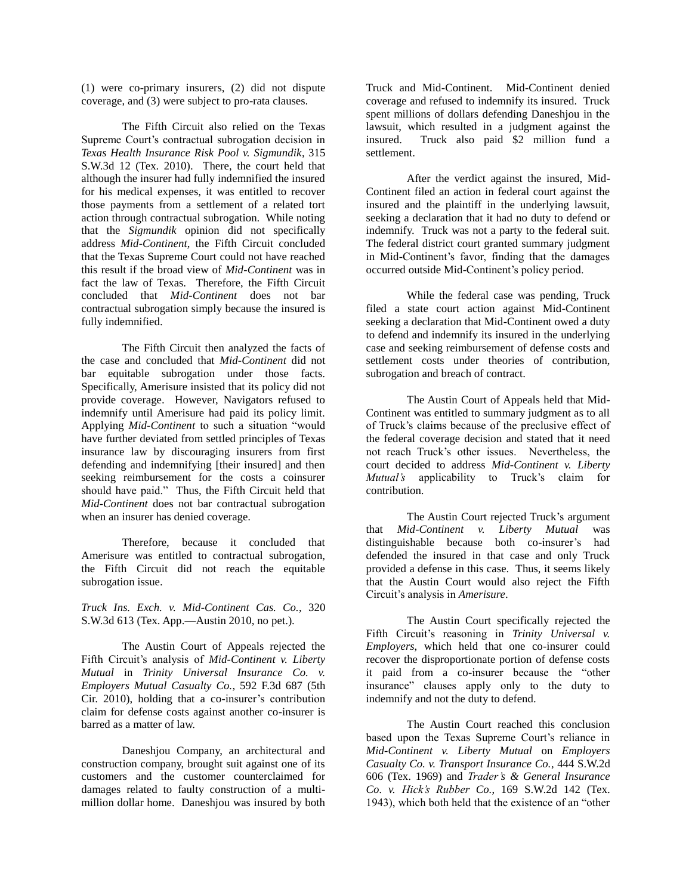(1) were co-primary insurers, (2) did not dispute coverage, and (3) were subject to pro-rata clauses.

The Fifth Circuit also relied on the Texas Supreme Court's contractual subrogation decision in *Texas Health Insurance Risk Pool v. Sigmundik*, 315 S.W.3d 12 (Tex. 2010). There, the court held that although the insurer had fully indemnified the insured for his medical expenses, it was entitled to recover those payments from a settlement of a related tort action through contractual subrogation. While noting that the *Sigmundik* opinion did not specifically address *Mid-Continent*, the Fifth Circuit concluded that the Texas Supreme Court could not have reached this result if the broad view of *Mid-Continent* was in fact the law of Texas. Therefore, the Fifth Circuit concluded that *Mid-Continent* does not bar contractual subrogation simply because the insured is fully indemnified.

The Fifth Circuit then analyzed the facts of the case and concluded that *Mid-Continent* did not bar equitable subrogation under those facts. Specifically, Amerisure insisted that its policy did not provide coverage. However, Navigators refused to indemnify until Amerisure had paid its policy limit. Applying *Mid-Continent* to such a situation "would have further deviated from settled principles of Texas insurance law by discouraging insurers from first defending and indemnifying [their insured] and then seeking reimbursement for the costs a coinsurer should have paid." Thus, the Fifth Circuit held that *Mid-Continent* does not bar contractual subrogation when an insurer has denied coverage.

Therefore, because it concluded that Amerisure was entitled to contractual subrogation, the Fifth Circuit did not reach the equitable subrogation issue.

*Truck Ins. Exch. v. Mid-Continent Cas. Co.*, 320 S.W.3d 613 (Tex. App.—Austin 2010, no pet.).

The Austin Court of Appeals rejected the Fifth Circuit's analysis of *Mid-Continent v. Liberty Mutual* in *Trinity Universal Insurance Co. v. Employers Mutual Casualty Co.*, 592 F.3d 687 (5th Cir. 2010), holding that a co-insurer's contribution claim for defense costs against another co-insurer is barred as a matter of law.

Daneshjou Company, an architectural and construction company, brought suit against one of its customers and the customer counterclaimed for damages related to faulty construction of a multimillion dollar home. Daneshjou was insured by both

Truck and Mid-Continent. Mid-Continent denied coverage and refused to indemnify its insured. Truck spent millions of dollars defending Daneshjou in the lawsuit, which resulted in a judgment against the insured. Truck also paid \$2 million fund a settlement.

After the verdict against the insured, Mid-Continent filed an action in federal court against the insured and the plaintiff in the underlying lawsuit, seeking a declaration that it had no duty to defend or indemnify. Truck was not a party to the federal suit. The federal district court granted summary judgment in Mid-Continent's favor, finding that the damages occurred outside Mid-Continent's policy period.

While the federal case was pending, Truck filed a state court action against Mid-Continent seeking a declaration that Mid-Continent owed a duty to defend and indemnify its insured in the underlying case and seeking reimbursement of defense costs and settlement costs under theories of contribution, subrogation and breach of contract.

The Austin Court of Appeals held that Mid-Continent was entitled to summary judgment as to all of Truck's claims because of the preclusive effect of the federal coverage decision and stated that it need not reach Truck's other issues. Nevertheless, the court decided to address *Mid-Continent v. Liberty Mutual's* applicability to Truck's claim for contribution.

The Austin Court rejected Truck's argument that *Mid-Continent v. Liberty Mutual* was distinguishable because both co-insurer's had defended the insured in that case and only Truck provided a defense in this case. Thus, it seems likely that the Austin Court would also reject the Fifth Circuit's analysis in *Amerisure*.

The Austin Court specifically rejected the Fifth Circuit's reasoning in *Trinity Universal v. Employers*, which held that one co-insurer could recover the disproportionate portion of defense costs it paid from a co-insurer because the "other insurance" clauses apply only to the duty to indemnify and not the duty to defend.

The Austin Court reached this conclusion based upon the Texas Supreme Court's reliance in *Mid-Continent v. Liberty Mutual* on *Employers Casualty Co. v. Transport Insurance Co.*, 444 S.W.2d 606 (Tex. 1969) and *Trader's & General Insurance Co. v. Hick's Rubber Co.*, 169 S.W.2d 142 (Tex. 1943), which both held that the existence of an "other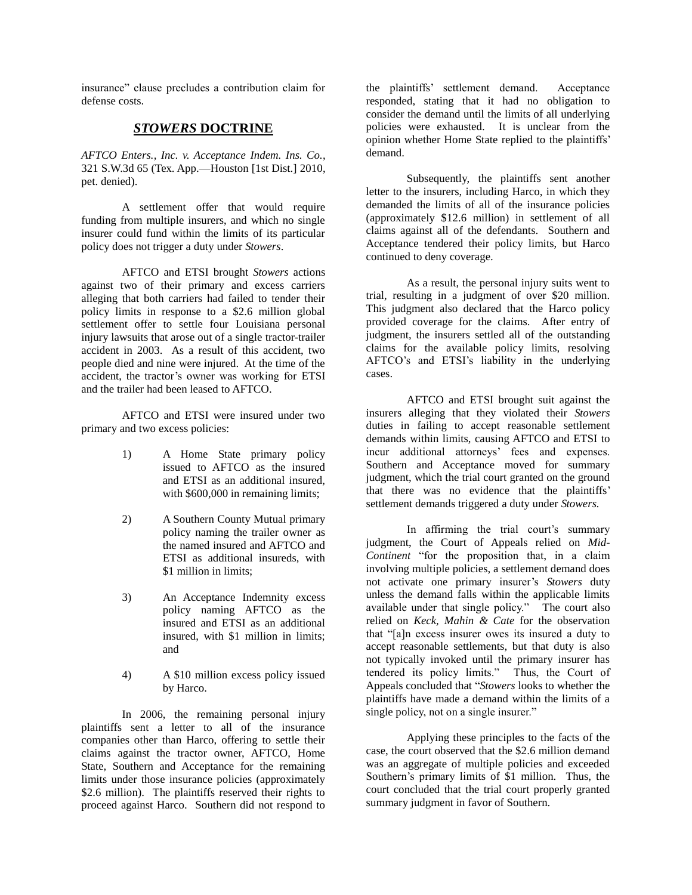insurance" clause precludes a contribution claim for defense costs.

### *STOWERS* **DOCTRINE**

*AFTCO Enters., Inc. v. Acceptance Indem. Ins. Co.*, 321 S.W.3d 65 (Tex. App.—Houston [1st Dist.] 2010, pet. denied).

A settlement offer that would require funding from multiple insurers, and which no single insurer could fund within the limits of its particular policy does not trigger a duty under *Stowers*.

AFTCO and ETSI brought *Stowers* actions against two of their primary and excess carriers alleging that both carriers had failed to tender their policy limits in response to a \$2.6 million global settlement offer to settle four Louisiana personal injury lawsuits that arose out of a single tractor-trailer accident in 2003. As a result of this accident, two people died and nine were injured. At the time of the accident, the tractor's owner was working for ETSI and the trailer had been leased to AFTCO.

AFTCO and ETSI were insured under two primary and two excess policies:

- 1) A Home State primary policy issued to AFTCO as the insured and ETSI as an additional insured, with  $$600,000$  in remaining limits;
- 2) A Southern County Mutual primary policy naming the trailer owner as the named insured and AFTCO and ETSI as additional insureds, with \$1 million in limits;
- 3) An Acceptance Indemnity excess policy naming AFTCO as the insured and ETSI as an additional insured, with \$1 million in limits; and
- 4) A \$10 million excess policy issued by Harco.

In 2006, the remaining personal injury plaintiffs sent a letter to all of the insurance companies other than Harco, offering to settle their claims against the tractor owner, AFTCO, Home State, Southern and Acceptance for the remaining limits under those insurance policies (approximately \$2.6 million). The plaintiffs reserved their rights to proceed against Harco. Southern did not respond to

the plaintiffs' settlement demand. Acceptance responded, stating that it had no obligation to consider the demand until the limits of all underlying policies were exhausted. It is unclear from the opinion whether Home State replied to the plaintiffs' demand.

Subsequently, the plaintiffs sent another letter to the insurers, including Harco, in which they demanded the limits of all of the insurance policies (approximately \$12.6 million) in settlement of all claims against all of the defendants. Southern and Acceptance tendered their policy limits, but Harco continued to deny coverage.

As a result, the personal injury suits went to trial, resulting in a judgment of over \$20 million. This judgment also declared that the Harco policy provided coverage for the claims. After entry of judgment, the insurers settled all of the outstanding claims for the available policy limits, resolving AFTCO's and ETSI's liability in the underlying cases.

AFTCO and ETSI brought suit against the insurers alleging that they violated their *Stowers*  duties in failing to accept reasonable settlement demands within limits, causing AFTCO and ETSI to incur additional attorneys' fees and expenses. Southern and Acceptance moved for summary judgment, which the trial court granted on the ground that there was no evidence that the plaintiffs' settlement demands triggered a duty under *Stowers.*

In affirming the trial court's summary judgment, the Court of Appeals relied on *Mid-Continent* "for the proposition that, in a claim involving multiple policies, a settlement demand does not activate one primary insurer's *Stowers* duty unless the demand falls within the applicable limits available under that single policy." The court also relied on *Keck, Mahin & Cate* for the observation that "[a]n excess insurer owes its insured a duty to accept reasonable settlements, but that duty is also not typically invoked until the primary insurer has tendered its policy limits." Thus, the Court of Appeals concluded that "*Stowers* looks to whether the plaintiffs have made a demand within the limits of a single policy, not on a single insurer."

Applying these principles to the facts of the case, the court observed that the \$2.6 million demand was an aggregate of multiple policies and exceeded Southern's primary limits of \$1 million. Thus, the court concluded that the trial court properly granted summary judgment in favor of Southern.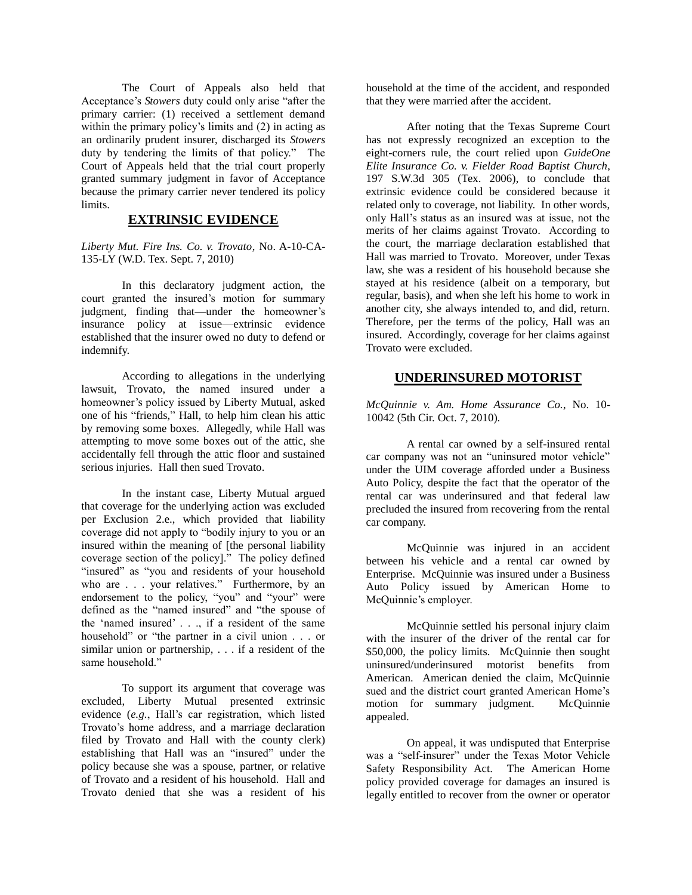The Court of Appeals also held that Acceptance's *Stowers* duty could only arise "after the primary carrier: (1) received a settlement demand within the primary policy's limits and (2) in acting as an ordinarily prudent insurer, discharged its *Stowers*  duty by tendering the limits of that policy." The Court of Appeals held that the trial court properly granted summary judgment in favor of Acceptance because the primary carrier never tendered its policy limits.

## **EXTRINSIC EVIDENCE**

*Liberty Mut. Fire Ins. Co. v. Trovato*, No. A-10-CA-135-LY (W.D. Tex. Sept. 7, 2010)

In this declaratory judgment action, the court granted the insured's motion for summary judgment, finding that—under the homeowner's insurance policy at issue—extrinsic evidence established that the insurer owed no duty to defend or indemnify.

According to allegations in the underlying lawsuit, Trovato, the named insured under a homeowner's policy issued by Liberty Mutual, asked one of his "friends," Hall, to help him clean his attic by removing some boxes. Allegedly, while Hall was attempting to move some boxes out of the attic, she accidentally fell through the attic floor and sustained serious injuries. Hall then sued Trovato.

In the instant case, Liberty Mutual argued that coverage for the underlying action was excluded per Exclusion 2.e., which provided that liability coverage did not apply to "bodily injury to you or an insured within the meaning of [the personal liability coverage section of the policy]." The policy defined "insured" as "you and residents of your household who are . . . your relatives." Furthermore, by an endorsement to the policy, "you" and "your" were defined as the "named insured" and "the spouse of the 'named insured'  $\ldots$  if a resident of the same household" or "the partner in a civil union . . . or similar union or partnership, . . . if a resident of the same household."

To support its argument that coverage was excluded, Liberty Mutual presented extrinsic evidence (*e.g.*, Hall's car registration, which listed Trovato's home address, and a marriage declaration filed by Trovato and Hall with the county clerk) establishing that Hall was an "insured" under the policy because she was a spouse, partner, or relative of Trovato and a resident of his household. Hall and Trovato denied that she was a resident of his

household at the time of the accident, and responded that they were married after the accident.

After noting that the Texas Supreme Court has not expressly recognized an exception to the eight-corners rule, the court relied upon *GuideOne Elite Insurance Co. v. Fielder Road Baptist Church*, 197 S.W.3d 305 (Tex. 2006), to conclude that extrinsic evidence could be considered because it related only to coverage, not liability. In other words, only Hall's status as an insured was at issue, not the merits of her claims against Trovato. According to the court, the marriage declaration established that Hall was married to Trovato. Moreover, under Texas law, she was a resident of his household because she stayed at his residence (albeit on a temporary, but regular, basis), and when she left his home to work in another city, she always intended to, and did, return. Therefore, per the terms of the policy, Hall was an insured. Accordingly, coverage for her claims against Trovato were excluded.

#### **UNDERINSURED MOTORIST**

*McQuinnie v. Am. Home Assurance Co.*, No. 10- 10042 (5th Cir. Oct. 7, 2010).

A rental car owned by a self-insured rental car company was not an "uninsured motor vehicle" under the UIM coverage afforded under a Business Auto Policy, despite the fact that the operator of the rental car was underinsured and that federal law precluded the insured from recovering from the rental car company.

McQuinnie was injured in an accident between his vehicle and a rental car owned by Enterprise. McQuinnie was insured under a Business Auto Policy issued by American Home to McQuinnie's employer.

McQuinnie settled his personal injury claim with the insurer of the driver of the rental car for \$50,000, the policy limits. McQuinnie then sought uninsured/underinsured motorist benefits from American. American denied the claim, McQuinnie sued and the district court granted American Home's motion for summary judgment. McQuinnie appealed.

On appeal, it was undisputed that Enterprise was a "self-insurer" under the Texas Motor Vehicle Safety Responsibility Act. The American Home policy provided coverage for damages an insured is legally entitled to recover from the owner or operator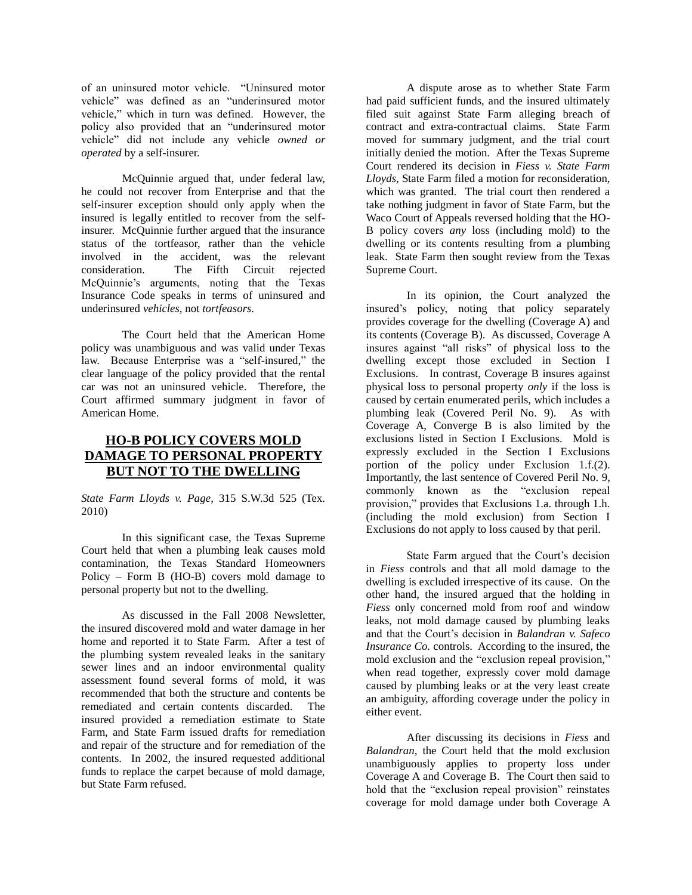of an uninsured motor vehicle. "Uninsured motor vehicle" was defined as an "underinsured motor vehicle," which in turn was defined. However, the policy also provided that an "underinsured motor vehicle" did not include any vehicle *owned or operated* by a self-insurer.

McQuinnie argued that, under federal law, he could not recover from Enterprise and that the self-insurer exception should only apply when the insured is legally entitled to recover from the selfinsurer. McQuinnie further argued that the insurance status of the tortfeasor, rather than the vehicle involved in the accident, was the relevant consideration. The Fifth Circuit rejected McQuinnie's arguments, noting that the Texas Insurance Code speaks in terms of uninsured and underinsured *vehicles*, not *tortfeasors*.

The Court held that the American Home policy was unambiguous and was valid under Texas law. Because Enterprise was a "self-insured," the clear language of the policy provided that the rental car was not an uninsured vehicle. Therefore, the Court affirmed summary judgment in favor of American Home.

# **HO-B POLICY COVERS MOLD DAMAGE TO PERSONAL PROPERTY BUT NOT TO THE DWELLING**

*State Farm Lloyds v. Page*, 315 S.W.3d 525 (Tex. 2010)

In this significant case, the Texas Supreme Court held that when a plumbing leak causes mold contamination, the Texas Standard Homeowners Policy – Form B (HO-B) covers mold damage to personal property but not to the dwelling.

As discussed in the Fall 2008 Newsletter, the insured discovered mold and water damage in her home and reported it to State Farm. After a test of the plumbing system revealed leaks in the sanitary sewer lines and an indoor environmental quality assessment found several forms of mold, it was recommended that both the structure and contents be remediated and certain contents discarded. The insured provided a remediation estimate to State Farm, and State Farm issued drafts for remediation and repair of the structure and for remediation of the contents. In 2002, the insured requested additional funds to replace the carpet because of mold damage, but State Farm refused.

A dispute arose as to whether State Farm had paid sufficient funds, and the insured ultimately filed suit against State Farm alleging breach of contract and extra-contractual claims. State Farm moved for summary judgment, and the trial court initially denied the motion. After the Texas Supreme Court rendered its decision in *Fiess v. State Farm Lloyds*, State Farm filed a motion for reconsideration, which was granted. The trial court then rendered a take nothing judgment in favor of State Farm, but the Waco Court of Appeals reversed holding that the HO-B policy covers *any* loss (including mold) to the dwelling or its contents resulting from a plumbing leak. State Farm then sought review from the Texas Supreme Court.

In its opinion, the Court analyzed the insured's policy, noting that policy separately provides coverage for the dwelling (Coverage A) and its contents (Coverage B). As discussed, Coverage A insures against "all risks" of physical loss to the dwelling except those excluded in Section I Exclusions. In contrast, Coverage B insures against physical loss to personal property *only* if the loss is caused by certain enumerated perils, which includes a plumbing leak (Covered Peril No. 9). As with Coverage A, Converge B is also limited by the exclusions listed in Section I Exclusions. Mold is expressly excluded in the Section I Exclusions portion of the policy under Exclusion 1.f.(2). Importantly, the last sentence of Covered Peril No. 9, commonly known as the "exclusion repeal provision," provides that Exclusions 1.a. through 1.h. (including the mold exclusion) from Section I Exclusions do not apply to loss caused by that peril.

State Farm argued that the Court's decision in *Fiess* controls and that all mold damage to the dwelling is excluded irrespective of its cause. On the other hand, the insured argued that the holding in *Fiess* only concerned mold from roof and window leaks, not mold damage caused by plumbing leaks and that the Court's decision in *Balandran v. Safeco Insurance Co.* controls. According to the insured, the mold exclusion and the "exclusion repeal provision," when read together, expressly cover mold damage caused by plumbing leaks or at the very least create an ambiguity, affording coverage under the policy in either event.

After discussing its decisions in *Fiess* and *Balandran*, the Court held that the mold exclusion unambiguously applies to property loss under Coverage A and Coverage B. The Court then said to hold that the "exclusion repeal provision" reinstates coverage for mold damage under both Coverage A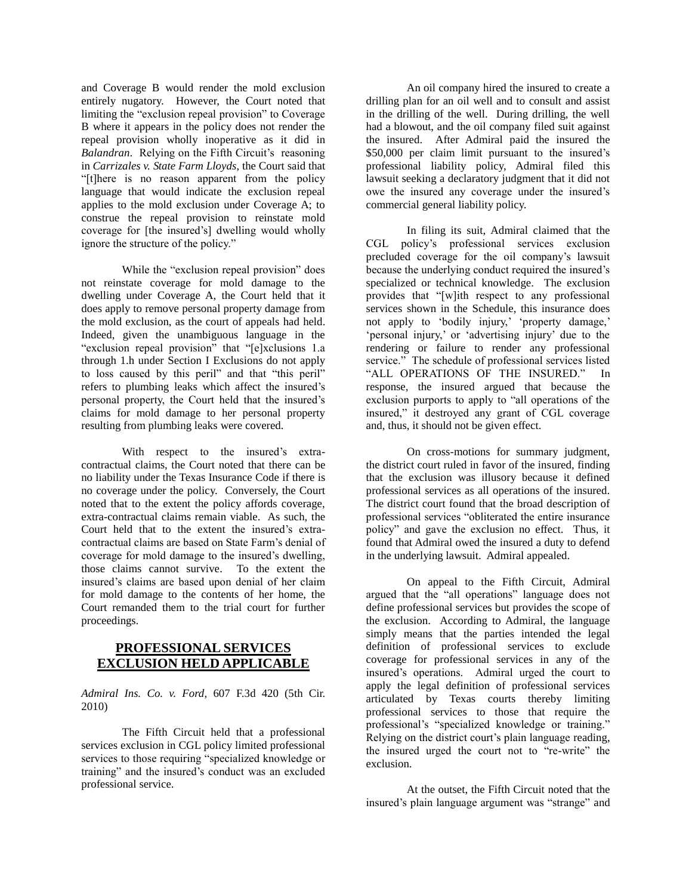and Coverage B would render the mold exclusion entirely nugatory. However, the Court noted that limiting the "exclusion repeal provision" to Coverage B where it appears in the policy does not render the repeal provision wholly inoperative as it did in *Balandran*. Relying on the Fifth Circuit's reasoning in *Carrizales v. State Farm Lloyds*, the Court said that ―[t]here is no reason apparent from the policy language that would indicate the exclusion repeal applies to the mold exclusion under Coverage A; to construe the repeal provision to reinstate mold coverage for [the insured's] dwelling would wholly ignore the structure of the policy."

While the "exclusion repeal provision" does not reinstate coverage for mold damage to the dwelling under Coverage A, the Court held that it does apply to remove personal property damage from the mold exclusion, as the court of appeals had held. Indeed, given the unambiguous language in the "exclusion repeal provision" that "[e]xclusions 1.a through 1.h under Section I Exclusions do not apply to loss caused by this peril" and that "this peril" refers to plumbing leaks which affect the insured's personal property, the Court held that the insured's claims for mold damage to her personal property resulting from plumbing leaks were covered.

With respect to the insured's extracontractual claims, the Court noted that there can be no liability under the Texas Insurance Code if there is no coverage under the policy. Conversely, the Court noted that to the extent the policy affords coverage, extra-contractual claims remain viable. As such, the Court held that to the extent the insured's extracontractual claims are based on State Farm's denial of coverage for mold damage to the insured's dwelling, those claims cannot survive. To the extent the insured's claims are based upon denial of her claim for mold damage to the contents of her home, the Court remanded them to the trial court for further proceedings.

## **PROFESSIONAL SERVICES EXCLUSION HELD APPLICABLE**

*Admiral Ins. Co. v. Ford*, 607 F.3d 420 (5th Cir. 2010)

The Fifth Circuit held that a professional services exclusion in CGL policy limited professional services to those requiring "specialized knowledge or training" and the insured's conduct was an excluded professional service.

An oil company hired the insured to create a drilling plan for an oil well and to consult and assist in the drilling of the well. During drilling, the well had a blowout, and the oil company filed suit against the insured. After Admiral paid the insured the \$50,000 per claim limit pursuant to the insured's professional liability policy, Admiral filed this lawsuit seeking a declaratory judgment that it did not owe the insured any coverage under the insured's commercial general liability policy.

In filing its suit, Admiral claimed that the CGL policy's professional services exclusion precluded coverage for the oil company's lawsuit because the underlying conduct required the insured's specialized or technical knowledge. The exclusion provides that "[w]ith respect to any professional services shown in the Schedule, this insurance does not apply to 'bodily injury,' 'property damage,' 'personal injury,' or 'advertising injury' due to the rendering or failure to render any professional service." The schedule of professional services listed "ALL OPERATIONS OF THE INSURED." In response, the insured argued that because the exclusion purports to apply to "all operations of the insured," it destroyed any grant of CGL coverage and, thus, it should not be given effect.

On cross-motions for summary judgment, the district court ruled in favor of the insured, finding that the exclusion was illusory because it defined professional services as all operations of the insured. The district court found that the broad description of professional services "obliterated the entire insurance" policy‖ and gave the exclusion no effect. Thus, it found that Admiral owed the insured a duty to defend in the underlying lawsuit. Admiral appealed.

On appeal to the Fifth Circuit, Admiral argued that the "all operations" language does not define professional services but provides the scope of the exclusion. According to Admiral, the language simply means that the parties intended the legal definition of professional services to exclude coverage for professional services in any of the insured's operations. Admiral urged the court to apply the legal definition of professional services articulated by Texas courts thereby limiting professional services to those that require the professional's "specialized knowledge or training." Relying on the district court's plain language reading, the insured urged the court not to "re-write" the exclusion.

At the outset, the Fifth Circuit noted that the insured's plain language argument was "strange" and